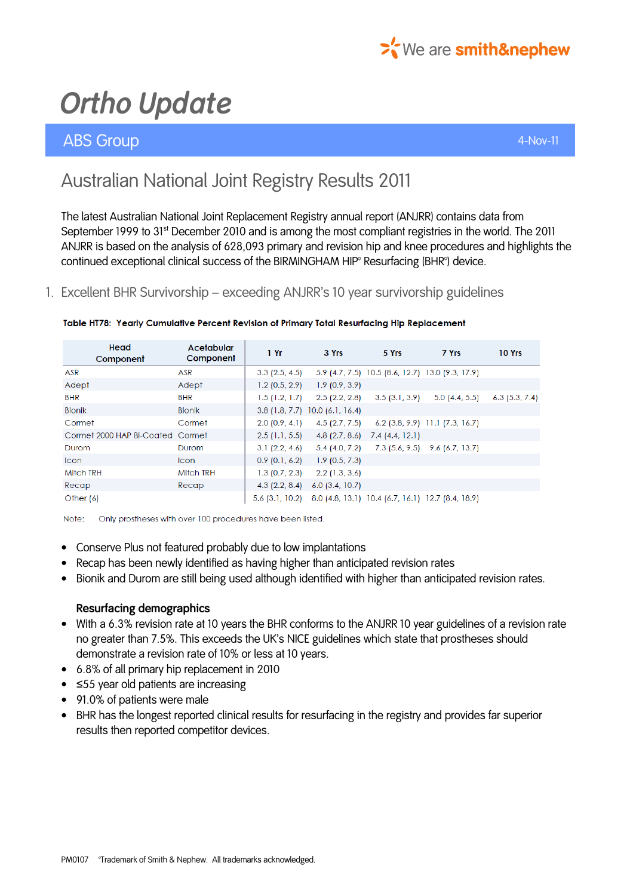

## ABS Group 4-Nov-11

# Australian National Joint Registry Results 2011

The latest Australian National Joint Replacement Registry annual report (ANJRR) contains data from September 1999 to 31<sup>st</sup> December 2010 and is among the most compliant registries in the world. The 2011 ANJRR is based on the analysis of 628,093 primary and revision hip and knee procedures and highlights the continued exceptional clinical success of the BIRMINGHAM HIP® Resurfacing (BHR®) device.

### 1. Excellent BHR Survivorship – exceeding ANJRR's 10 year survivorship guidelines

| Head<br>Component                | Acetabular<br>Component | 1 Yr             | 3 Yrs                                                             | 5 Yrs                                            | 7 Yrs                             | 10 Yrs           |
|----------------------------------|-------------------------|------------------|-------------------------------------------------------------------|--------------------------------------------------|-----------------------------------|------------------|
| ASR                              | ASR                     | $3.3$ (2.5, 4.5) |                                                                   | 5.9 (4.7, 7.5) 10.5 (8.6, 12.7) 13.0 (9.3, 17.9) |                                   |                  |
| Adept                            | Adept                   | $1.2$ (0.5, 2.9) | 1.9(0.9, 3.9)                                                     |                                                  |                                   |                  |
| <b>BHR</b>                       | <b>BHR</b>              | 1.5(1.2, 1.7)    | $2.5$ (2.2, 2.8)                                                  | 3.5(3.1, 3.9)                                    | 5.0(4.4, 5.5)                     | $6.3$ (5.3, 7.4) |
| <b>Bionik</b>                    | <b>Bionik</b>           |                  | $3.8$ (1.8, 7.7) 10.0 (6.1, 16.4)                                 |                                                  |                                   |                  |
| Cormet                           | Cormet                  | 2.0(0.9, 4.1)    | $4.5$ (2.7, 7.5)                                                  |                                                  | $6.2$ (3.8, 9.9) 11.1 (7.3, 16.7) |                  |
| Cormet 2000 HAP Bi-Coated Cormet |                         | $2.5$ (1.1, 5.5) | 4.8 $(2.7, 8.6)$                                                  | 7.4(4.4, 12.1)                                   |                                   |                  |
| Durom                            | Durom                   | 3.1(2.2, 4.6)    | $5.4$ (4.0, 7.2)                                                  |                                                  | 7.3 (5.6, 9.5) 9.6 (6.7, 13.7)    |                  |
| <b>Icon</b>                      | Icon                    | $0.9$ (0.1, 6.2) | 1.9(0.5, 7.3)                                                     |                                                  |                                   |                  |
| <b>Mitch TRH</b>                 | <b>Mitch TRH</b>        | $1.3$ (0.7, 2.3) | $2.2$ (1.3, 3.6)                                                  |                                                  |                                   |                  |
| Recap                            | Recap                   | $4.3$ (2.2, 8.4) | $6.0$ (3.4, 10.7)                                                 |                                                  |                                   |                  |
| Other $(6)$                      |                         |                  | 5.6 (3.1, 10.2) 8.0 (4.8, 13.1) 10.4 (6.7, 16.1) 12.7 (8.4, 18.9) |                                                  |                                   |                  |

#### Table HT78: Yearly Cumulative Percent Revision of Primary Total Resurfacing Hip Replacement

Only prostheses with over 100 procedures have been listed. Note:

- Conserve Plus not featured probably due to low implantations
- Recap has been newly identified as having higher than anticipated revision rates
- Bionik and Durom are still being used although identified with higher than anticipated revision rates.

### Resurfacing demographics

- With a 6.3% revision rate at 10 years the BHR conforms to the ANJRR 10 year guidelines of a revision rate no greater than 7.5%. This exceeds the UK's NICE guidelines which state that prostheses should demonstrate a revision rate of 10% or less at 10 years.
- 6.8% of all primary hip replacement in 2010
- ≤55 year old patients are increasing
- 91.0% of patients were male
- BHR has the longest reported clinical results for resurfacing in the registry and provides far superior results then reported competitor devices.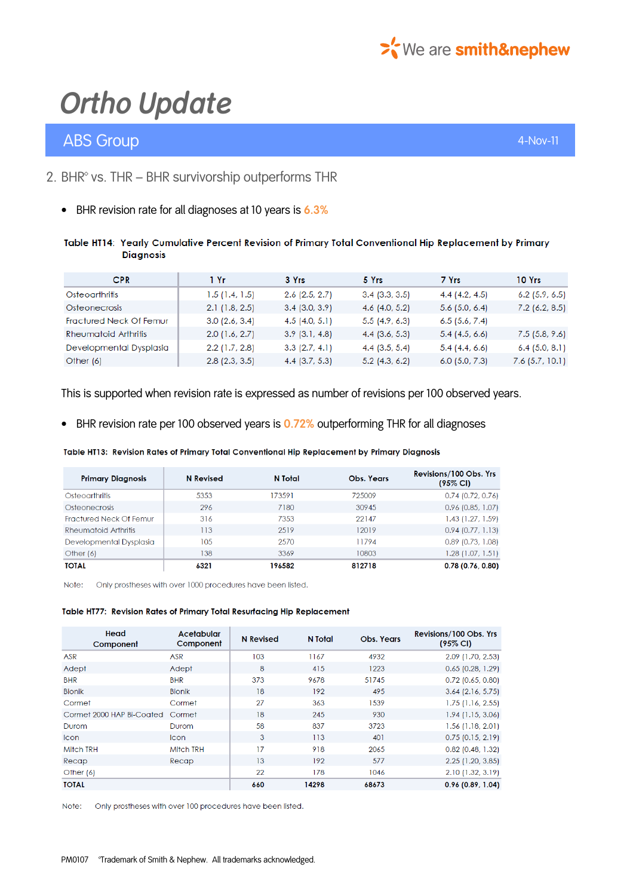

## ABS Group 4-Nov-11 and 200 million and 200 million and 200 million and 200 million and 4-Nov-11

## 2. BHR<sup>®</sup> vs. THR – BHR survivorship outperforms THR

• BHR revision rate for all diagnoses at 10 years is 6.3%

#### Table HT14: Yearly Cumulative Percent Revision of Primary Total Conventional Hip Replacement by Primary **Diagnosis**

| <b>CPR</b>                     | 1 Yr             | 3 Yrs              | 5 Yrs            | 7 Yrs            | 10 Yrs            |
|--------------------------------|------------------|--------------------|------------------|------------------|-------------------|
| Osteoarthritis                 | 1.5(1.4, 1.5)    | $2.6$ (2.5, 2.7)   | $3.4$ (3.3, 3.5) | 4.4(4.2, 4.5)    | $6.2$ (5.9, 6.5)  |
| <b>Osteonecrosis</b>           | 2.1(1.8, 2.5)    | $3.4$ (3.0, 3.9)   | $4.6$ (4.0, 5.2) | $5.6$ (5.0, 6.4) | $7.2$ (6.2, 8.5)  |
| <b>Fractured Neck Of Femur</b> | 3.0(2.6, 3.4)    | 4.5(4.0, 5.1)      | 5.5(4.9, 6.3)    | 6.5(5.6, 7.4)    |                   |
| <b>Rheumatoid Arthritis</b>    | $2.0$ (1.6, 2.7) | $3.9$ $(3.1, 4.8)$ | $4.4$ (3.6, 5.3) | 5.4(4.5, 6.6)    | 7.5(5.8, 9.6)     |
| Developmental Dysplasia        | $2.2$ (1.7, 2.8) | 3.3(2.7, 4.1)      | $4.4$ (3.5, 5.4) | 5.4(4.4, 6.6)    | $6.4$ (5.0, 8.1)  |
| Other $(6)$                    | $2.8$ (2.3, 3.5) | $4.4$ (3.7, 5.3)   | $5.2$ (4.3, 6.2) | $6.0$ (5.0, 7.3) | $7.6$ (5.7, 10.1) |

This is supported when revision rate is expressed as number of revisions per 100 observed years.

• BHR revision rate per 100 observed years is 0.72% outperforming THR for all diagnoses

Table HT13: Revision Rates of Primary Total Conventional Hip Replacement by Primary Diagnosis

| <b>Primary Diagnosis</b> | <b>N</b> Revised | N Total | Obs. Years | Revisions/100 Obs. Yrs<br>$(95\% \text{ Cl})$ |
|--------------------------|------------------|---------|------------|-----------------------------------------------|
| Osteoarthritis           | 5353             | 173591  | 725009     | $0.74$ (0.72, 0.76)                           |
| <b>Osteonecrosis</b>     | 296              | 7180    | 30945      | $0.96$ (0.85, 1.07)                           |
| Fractured Neck Of Femur  | 316              | 7353    | 22147      | $1.43$ (1.27, 1.59)                           |
| Rheumatoid Arthritis     | 113              | 2519    | 12019      | 0.94(0.77, 1.13)                              |
| Developmental Dysplasia  | 105              | 2570    | 11794      | $0.89$ (0.73, 1.08)                           |
| Other $(6)$              | 138              | 3369    | 10803      | $1.28$ (1.07, 1.51)                           |
| <b>TOTAL</b>             | 6321             | 196582  | 812718     | 0.78(0.76, 0.80)                              |

Note: Only prostheses with over 1000 procedures have been listed.

Table HT77: Revision Rates of Primary Total Resurfacing Hip Replacement

| Head<br>Component                | Acetabular<br>Component | <b>N</b> Revised | N Total | <b>Obs. Years</b> | Revisions/100 Obs. Yrs<br>$(95\% \text{ Cl})$ |
|----------------------------------|-------------------------|------------------|---------|-------------------|-----------------------------------------------|
| <b>ASR</b>                       | <b>ASR</b>              | 103              | 1167    | 4932              | 2.09 (1.70, 2.53)                             |
| Adept                            | Adept                   | 8                | 415     | 1223              | $0.65$ (0.28, 1.29)                           |
| <b>BHR</b>                       | <b>BHR</b>              | 373              | 9678    | 51745             | $0.72$ (0.65, 0.80)                           |
| <b>Bionik</b>                    | <b>Bionik</b>           | 18               | 192     | 495               | $3.64$ (2.16, 5.75)                           |
| Cormet                           | Cormet                  | 27               | 363     | 1539              | $1.75$ (1.16, 2.55)                           |
| Cormet 2000 HAP Bi-Coated Cormet |                         | 18               | 245     | 930               | $1.94$ (1.15, 3.06)                           |
| Durom                            | Durom                   | 58               | 837     | 3723              | $1.56$ (1.18, 2.01)                           |
| <b>Icon</b>                      | <b>Icon</b>             | 3                | 113     | 401               | $0.75$ (0.15, 2.19)                           |
| <b>Mitch TRH</b>                 | <b>Mitch TRH</b>        | 17               | 918     | 2065              | $0.82$ (0.48, 1.32)                           |
| Recap                            | Recap                   | 13               | 192     | 577               | $2.25$ (1.20, 3.85)                           |
| Other $(6)$                      |                         | 22               | 178     | 1046              | $2.10$ (1.32, 3.19)                           |
| <b>TOTAL</b>                     |                         | 660              | 14298   | 68673             | 0.96(0.89, 1.04)                              |

Note: Only prostheses with over 100 procedures have been listed.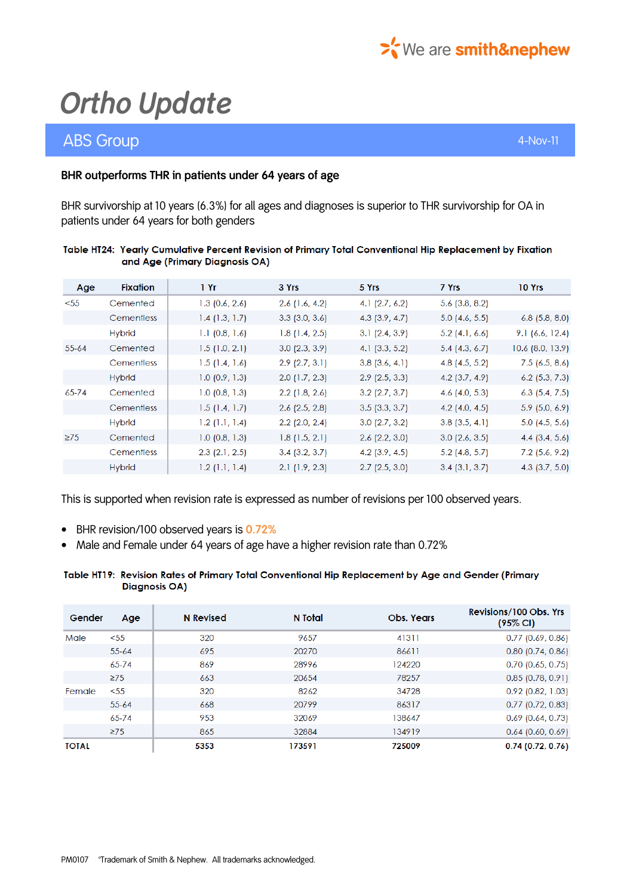

## ABS Group 4-Nov-11

### BHR outperforms THR in patients under 64 years of age

BHR survivorship at 10 years (6.3%) for all ages and diagnoses is superior to THR survivorship for OA in patients under 64 years for both genders

#### Table HT24: Yearly Cumulative Percent Revision of Primary Total Conventional Hip Replacement by Fixation and Age (Primary Diagnosis OA)

| Age       | <b>Fixation</b>   | 1Yr              | 3 Yrs            | 5 Yrs            | 7 Yrs            | 10 Yrs             |
|-----------|-------------------|------------------|------------------|------------------|------------------|--------------------|
| $55$      | Cemented          | $1.3$ (0.6, 2.6) | $2.6$ (1.6, 4.2) | 4.1 $(2.7, 6.2)$ | $5.6$ (3.8, 8.2) |                    |
|           | Cementless        | 1.4(1.3, 1.7)    | $3.3$ (3.0, 3.6) | $4.3$ (3.9, 4.7) | $5.0$ (4.6, 5.5) | $6.8$ (5.8, 8.0)   |
|           | <b>Hybrid</b>     | $1.1$ (0.8, 1.6) | 1.8(1.4, 2.5)    | 3.1(2.4, 3.9)    | $5.2$ (4.1, 6.6) | 9.1(6.6, 12.4)     |
| $55 - 64$ | Cemented          | 1.5(1.0, 2.1)    | $3.0$ (2.3, 3.9) | 4.1 $(3.3, 5.2)$ | $5.4$ (4.3, 6.7) | $10.6$ (8.0, 13.9) |
|           | <b>Cementless</b> | 1.5(1.4, 1.6)    | $2.9$ (2.7, 3.1) | $3.8$ (3.6, 4.1) | $4.8$ (4.5, 5.2) | 7.5(6.5, 8.6)      |
|           | <b>Hybrid</b>     | $1.0$ (0.9, 1.3) | $2.0$ (1.7, 2.3) | $2.9$ (2.5, 3.3) | $4.2$ (3.7, 4.9) | $6.2$ (5.3, 7.3)   |
| $65 - 74$ | Cemented          | $1.0$ (0.8, 1.3) | $2.2$ (1.8, 2.6) | $3.2$ (2.7, 3.7) | 4.6 $(4.0, 5.3)$ | $6.3$ (5.4, 7.5)   |
|           | Cementless        | 1.5(1.4, 1.7)    | $2.6$ (2.5, 2.8) | 3.5(3.3, 3.7)    | 4.2 $(4.0, 4.5)$ | $5.9$ (5.0, 6.9)   |
|           | <b>Hybrid</b>     | $1.2$ (1.1, 1.4) | $2.2$ (2.0, 2.4) | 3.0(2.7, 3.2)    | $3.8$ (3.5, 4.1) | $5.0$ (4.5, 5.6)   |
| $\geq$ 75 | Cemented          | $1.0$ (0.8, 1.3) | 1.8(1.5, 2.1)    | $2.6$ (2.2, 3.0) | $3.0$ (2.6, 3.5) | 4.4 $(3.4, 5.6)$   |
|           | <b>Cementless</b> | $2.3$ (2.1, 2.5) | $3.4$ (3.2, 3.7) | $4.2$ (3.9, 4.5) | $5.2$ (4.8, 5.7) | $7.2$ (5.6, 9.2)   |
|           | <b>Hybrid</b>     | 1.2(1.1, 1.4)    | 2.1(1.9, 2.3)    | 2.7(2.5, 3.0)    | 3.4(3.1, 3.7)    | 4.3 $(3.7, 5.0)$   |

This is supported when revision rate is expressed as number of revisions per 100 observed years.

- BHR revision/100 observed years is 0.72%
- Male and Female under 64 years of age have a higher revision rate than 0.72%

#### Table HT19: Revision Rates of Primary Total Conventional Hip Replacement by Age and Gender (Primary **Diagnosis OA)**

| Gender       | Age       | <b>N</b> Revised | N Total | <b>Obs. Years</b> | Revisions/100 Obs. Yrs<br>$(95\% \text{ Cl})$ |
|--------------|-----------|------------------|---------|-------------------|-----------------------------------------------|
| Male         | < 55      | 320              | 9657    | 41311             | $0.77$ (0.69, 0.86)                           |
|              | $55 - 64$ | 695              | 20270   | 86611             | $0.80$ (0.74, 0.86)                           |
|              | $65 - 74$ | 869              | 28996   | 124220            | $0.70$ (0.65, 0.75)                           |
|              | $\geq$ 75 | 663              | 20654   | 78257             | $0.85$ (0.78, 0.91)                           |
| Female       | < 55      | 320              | 8262    | 34728             | $0.92$ (0.82, 1.03)                           |
|              | $55 - 64$ | 668              | 20799   | 86317             | $0.77$ (0.72, 0.83)                           |
|              | $65 - 74$ | 953              | 32069   | 138647            | $0.69$ (0.64, 0.73)                           |
|              | $\geq$ 75 | 865              | 32884   | 134919            | $0.64$ (0.60, 0.69)                           |
| <b>TOTAL</b> |           | 5353             | 173591  | 725009            | 0.74(0.72, 0.76)                              |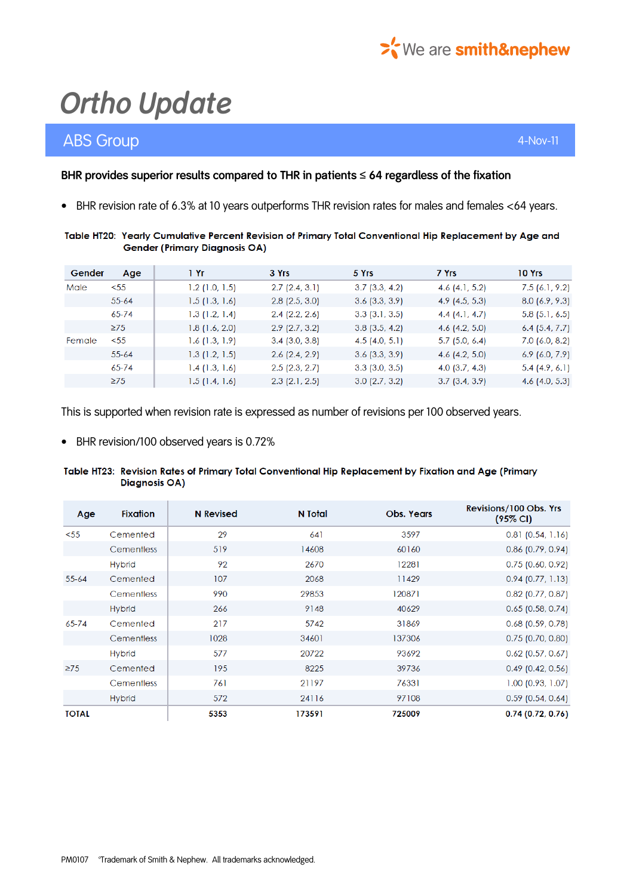

## ABS Group 4-Nov-11 and 200 million and 200 million and 200 million and 200 million and 4-Nov-11

### BHR provides superior results compared to THR in patients  $\leq 64$  regardless of the fixation

• BHR revision rate of 6.3% at 10 years outperforms THR revision rates for males and females <64 years.

### Table HT20: Yearly Cumulative Percent Revision of Primary Total Conventional Hip Replacement by Age and **Gender (Primary Diagnosis OA)**

| Gender | Age       | 1 Yr             | 3 Yrs            | 5 Yrs            | 7 Yrs            | 10 Yrs           |
|--------|-----------|------------------|------------------|------------------|------------------|------------------|
| Male   | < 55      | $1.2$ (1.0, 1.5) | 2.7(2.4, 3.1)    | $3.7$ (3.3, 4.2) | 4.6 $(4.1, 5.2)$ | 7.5(6.1, 9.2)    |
|        | $55 - 64$ | $1.5$ (1.3, 1.6) | $2.8$ (2.5, 3.0) | $3.6$ (3.3, 3.9) | $4.9$ (4.5, 5.3) | 8.0(6.9, 9.3)    |
|        | 65-74     | 1.3(1.2, 1.4)    | $2.4$ (2.2, 2.6) | $3.3$ (3.1, 3.5) | $4.4$ (4.1, 4.7) | $5.8$ (5.1, 6.5) |
|        | $\geq$ 75 | 1.8(1.6, 2.0)    | $2.9$ (2.7, 3.2) | $3.8$ (3.5, 4.2) | 4.6 $(4.2, 5.0)$ | $6.4$ (5.4, 7.7) |
| Female | $55$      | 1.6(1.3, 1.9)    | $3.4$ (3.0, 3.8) | $4.5$ (4.0, 5.1) | $5.7$ (5.0, 6.4) | $7.0$ (6.0, 8.2) |
|        | $55 - 64$ | 1.3(1.2, 1.5)    | $2.6$ (2.4, 2.9) | $3.6$ (3.3, 3.9) | 4.6 $(4.2, 5.0)$ | $6.9$ (6.0, 7.9) |
|        | $65 - 74$ | 1.4(1.3, 1.6)    | $2.5$ (2.3, 2.7) | $3.3$ (3.0, 3.5) | 4.0 $(3.7, 4.3)$ | 5.4(4.9, 6.1)    |
|        | $\geq$ 75 | 1.5(1.4, 1.6)    | $2.3$ (2.1, 2.5) | $3.0$ (2.7, 3.2) | $3.7$ (3.4, 3.9) | 4.6 $(4.0, 5.3)$ |

This is supported when revision rate is expressed as number of revisions per 100 observed years.

• BHR revision/100 observed years is 0.72%

#### Table HT23: Revision Rates of Primary Total Conventional Hip Replacement by Fixation and Age (Primary **Diagnosis OA)**

| Age          | <b>Fixation</b>   | <b>N</b> Revised | N Total | <b>Obs. Years</b> | Revisions/100 Obs. Yrs<br>$(95\% \text{ Cl})$ |
|--------------|-------------------|------------------|---------|-------------------|-----------------------------------------------|
| < 55         | Cemented          | 29               | 641     | 3597              | $0.81$ (0.54, 1.16)                           |
|              | Cementless        | 519              | 14608   | 60160             | $0.86$ (0.79, 0.94)                           |
|              | <b>Hybrid</b>     | 92               | 2670    | 12281             | $0.75$ (0.60, 0.92)                           |
| $55 - 64$    | Cemented          | 107              | 2068    | 11429             | $0.94$ (0.77, 1.13)                           |
|              | <b>Cementless</b> | 990              | 29853   | 120871            | $0.82$ (0.77, 0.87)                           |
|              | <b>Hybrid</b>     | 266              | 9148    | 40629             | $0.65$ (0.58, 0.74)                           |
| $65 - 74$    | Cemented          | 217              | 5742    | 31869             | $0.68$ (0.59, 0.78)                           |
|              | Cementless        | 1028             | 34601   | 137306            | $0.75$ (0.70, 0.80)                           |
|              | <b>Hybrid</b>     | 577              | 20722   | 93692             | $0.62$ (0.57, 0.67)                           |
| $\geq$ 75    | Cemented          | 195              | 8225    | 39736             | $0.49$ (0.42, 0.56)                           |
|              | Cementless        | 761              | 21197   | 76331             | $1.00$ (0.93, 1.07)                           |
|              | <b>Hybrid</b>     | 572              | 24116   | 97108             | $0.59$ (0.54, 0.64)                           |
| <b>TOTAL</b> |                   | 5353             | 173591  | 725009            | 0.74(0.72, 0.76)                              |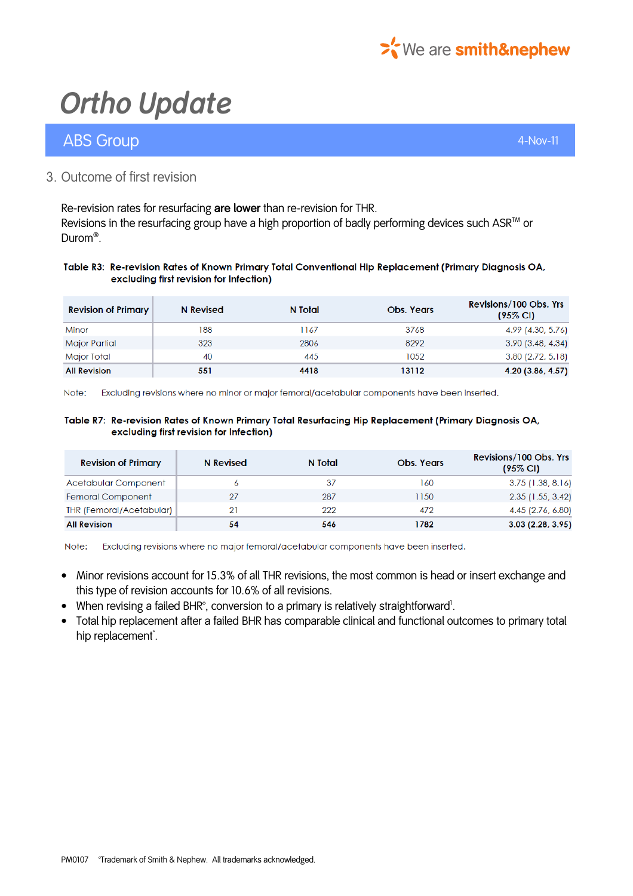

## ABS Group 4-Nov-11 and 200 million and 200 million and 200 million and 200 million and 4-Nov-11

### 3. Outcome of first revision

Re-revision rates for resurfacing are lower than re-revision for THR. Revisions in the resurfacing group have a high proportion of badly performing devices such ASR™ or Durom® .

#### Table R3: Re-revision Rates of Known Primary Total Conventional Hip Replacement (Primary Diagnosis OA, excluding first revision for Infection)

| <b>Revision of Primary</b> | N Revised | N Total | <b>Obs. Years</b> | Revisions/100 Obs. Yrs<br>$(95\% \text{ Cl})$ |
|----------------------------|-----------|---------|-------------------|-----------------------------------------------|
| Minor                      | 188       | 1167    | 3768              | 4.99 (4.30, 5.76)                             |
| Major Partial              | 323       | 2806    | 8292              | 3.90(3.48, 4.34)                              |
| Major Total                | 40        | 445     | 1052              | $3.80$ (2.72, 5.18)                           |
| <b>All Revision</b>        | 551       | 4418    | 13112             | 4.20 (3.86, 4.57)                             |

Note: Excluding revisions where no minor or major femoral/acetabular components have been inserted.

#### Table R7: Re-revision Rates of Known Primary Total Resurfacing Hip Replacement (Primary Diagnosis OA, excluding first revision for Infection)

| <b>Revision of Primary</b> | N Revised | N Total | <b>Obs. Years</b> | Revisions/100 Obs. Yrs<br>$(95\% \text{ Cl})$ |
|----------------------------|-----------|---------|-------------------|-----------------------------------------------|
| Acetabular Component       |           | -37     | 160               | $3.75$ (1.38, 8.16)                           |
| Femoral Component          |           | 287     | 1150              | $2.35$ (1.55, 3.42)                           |
| THR (Femoral/Acetabular)   |           | 222     | 472               | 4.45 (2.76, 6.80)                             |
| <b>All Revision</b>        | 54        | 546     | 1782              | 3.03(2.28, 3.95)                              |

Note: Excluding revisions where no major femoral/acetabular components have been inserted.

- Minor revisions account for 15.3% of all THR revisions, the most common is head or insert exchange and this type of revision accounts for 10.6% of all revisions.
- When revising a failed BHR°, conversion to a primary is relatively straightforward<sup>1</sup>.
- Total hip replacement after a failed BHR has comparable clinical and functional outcomes to primary total hip replacement<sup>\*</sup>.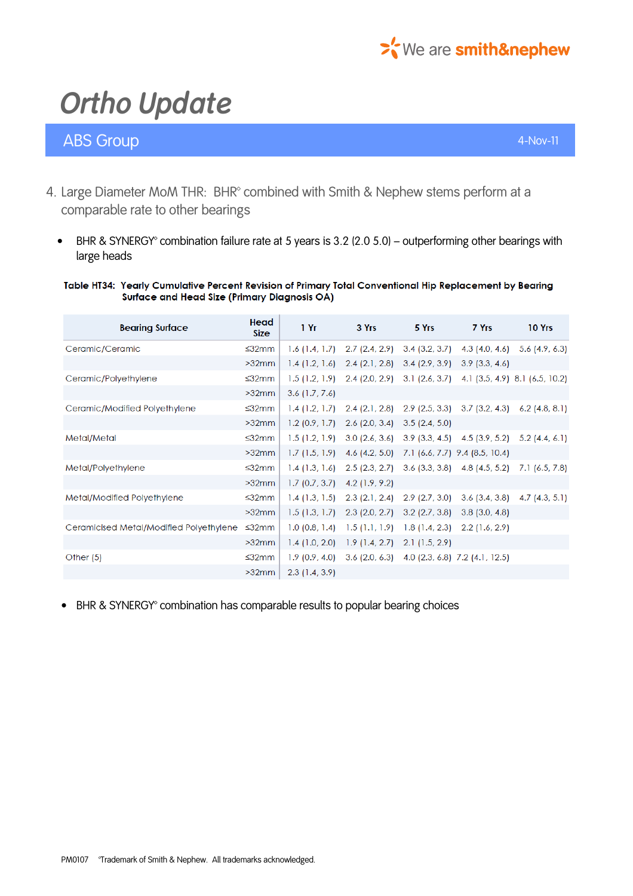

## ABS Group 4-Nov-11 and 200 million and 200 million and 200 million and 200 million and 4-Nov-11

- 4. Large Diameter MoM THR: BHR<sup>®</sup> combined with Smith & Nephew stems perform at a comparable rate to other bearings
	- BHR & SYNERGY® combination failure rate at 5 years is 3.2 (2.0 5.0) outperforming other bearings with large heads

#### Table HT34: Yearly Cumulative Percent Revision of Primary Total Conventional Hip Replacement by Bearing Surface and Head Size (Primary Diagnosis OA)

| <b>Bearing Surface</b>                  | Head<br><b>Size</b> | 1Yr              | 3 Yrs                             | 5 Yrs            | 7 Yrs                                              | 10 Yrs                            |
|-----------------------------------------|---------------------|------------------|-----------------------------------|------------------|----------------------------------------------------|-----------------------------------|
| Ceramic/Ceramic                         | ≤32mm               | 1.6(1.4, 1.7)    | $2.7$ (2.4, 2.9)                  | $3.4$ (3.2, 3.7) |                                                    | 4.3 $(4.0, 4.6)$ 5.6 $(4.9, 6.3)$ |
|                                         | >32mm               | 1.4(1.2, 1.6)    | $2.4$ (2.1, 2.8)                  | 3.4(2.9, 3.9)    | 3.9(3.3, 4.6)                                      |                                   |
| Ceramic/Polyethylene                    | $\leq$ 32mm         |                  | $1.5(1.2, 1.9)$ 2.4 (2.0, 2.9)    |                  | $3.1$ (2.6, 3.7) 4.1 (3.5, 4.9) 8.1 (6.5, 10.2)    |                                   |
|                                         | $>32$ mm            | $3.6$ (1.7, 7.6) |                                   |                  |                                                    |                                   |
| Ceramic/Modified Polyethylene           | ≤32mm               | 1.4(1.2, 1.7)    | $2.4$ (2.1, 2.8)                  |                  | 2.9 (2.5, 3.3) 3.7 (3.2, 4.3)                      | $6.2$ (4.8, 8.1)                  |
|                                         | $>32$ mm            | 1.2(0.9, 1.7)    | $2.6$ (2.0, 3.4)                  | 3.5(2.4, 5.0)    |                                                    |                                   |
| Metal/Metal                             | $\leq 32$ mm        | 1.5(1.2, 1.9)    | 3.0(2.6, 3.6)                     |                  | $3.9$ (3.3, 4.5) 4.5 (3.9, 5.2) 5.2 (4.4, 6.1)     |                                   |
|                                         | $>32$ mm            | 1.7(1.5, 1.9)    | 4.6 $(4.2, 5.0)$                  |                  | 7.1 (6.6, 7.7) 9.4 (8.5, 10.4)                     |                                   |
| Metal/Polyethylene                      | $\leq 32$ mm        | $1.4$ (1.3, 1.6) | $2.5$ (2.3, 2.7)                  |                  | $3.6$ (3.3, 3.8) $4.8$ (4.5, 5.2) $7.1$ (6.5, 7.8) |                                   |
|                                         | $>32$ mm            | 1.7(0.7, 3.7)    | $4.2$ (1.9, 9.2)                  |                  |                                                    |                                   |
| Metal/Modified Polyethylene             | $\leq$ 32mm         | 1.4(1.3, 1.5)    | $2.3$ (2.1, 2.4) $2.9$ (2.7, 3.0) |                  |                                                    | $3.6$ (3.4, 3.8) 4.7 (4.3, 5.1)   |
|                                         | >32mm               | 1.5(1.3, 1.7)    | $2.3$ (2.0, 2.7)                  | $3.2$ (2.7, 3.8) | $3.8$ (3.0, 4.8)                                   |                                   |
| Ceramicised Metal/Modified Polyethylene | ≤32mm               | 1.0(0.8, 1.4)    | 1.5(1.1, 1.9)                     | 1.8(1.4, 2.3)    | $2.2$ (1.6, 2.9)                                   |                                   |
|                                         | >32mm               | $1.4$ (1.0, 2.0) | 1.9(1.4, 2.7)                     | 2.1(1.5, 2.9)    |                                                    |                                   |
| Other $(5)$                             | $\leq 32$ mm        | 1.9(0.9, 4.0)    |                                   |                  | $3.6$ (2.0, 6.3) $4.0$ (2.3, 6.8) 7.2 (4.1, 12.5)  |                                   |
|                                         | >32mm               | $2.3$ (1.4, 3.9) |                                   |                  |                                                    |                                   |

• BHR & SYNERGY® combination has comparable results to popular bearing choices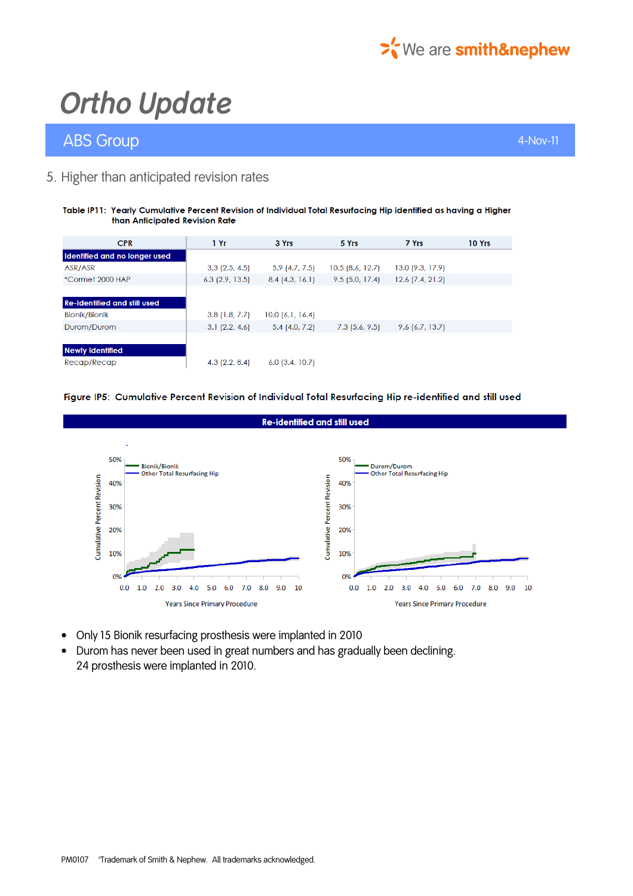

## ABS Group 4-Nov-11

### 5. Higher than anticipated revision rates

#### Table IP11: Yearly Cumulative Percent Revision of Individual Total Resurfacing Hip identified as having a Higher than Anticipated Revision Rate

| <b>CPR</b>                          | 1Yr               | 3 Yrs              | 5 Yrs            | 7 Yrs              | 10 Yrs |
|-------------------------------------|-------------------|--------------------|------------------|--------------------|--------|
| Identified and no longer used       |                   |                    |                  |                    |        |
| ASR/ASR                             | $3.3$ (2.5, 4.5)  | $5.9$ (4.7, 7.5)   | 10.5(8.6, 12.7)  | 13.0(9.3, 17.9)    |        |
| *Cormet 2000 HAP                    | $6.3$ (2.9, 13.5) | 8.4(4.3, 16.1)     | 9.5(5.0, 17.4)   | $12.6$ (7.4, 21.2) |        |
|                                     |                   |                    |                  |                    |        |
| <b>Re-Identified and still used</b> |                   |                    |                  |                    |        |
| <b>Bionik/Bionik</b>                | 3.8(1.8, 7.7)     | $10.0$ (6.1, 16.4) |                  |                    |        |
| Durom/Durom                         | 3.1(2.2, 4.6)     | $5.4$ (4.0, 7.2)   | $7.3$ (5.6, 9.5) | $9.6$ (6.7, 13.7)  |        |
|                                     |                   |                    |                  |                    |        |
| <b>Newly Identified</b>             |                   |                    |                  |                    |        |
| Recap/Recap                         | $4.3$ (2.2, 8.4)  | $6.0$ (3.4, 10.7)  |                  |                    |        |
|                                     |                   |                    |                  |                    |        |

#### Figure IP5: Cumulative Percent Revision of Individual Total Resurfacing Hip re-identified and still used



- Only 15 Bionik resurfacing prosthesis were implanted in 2010
- Durom has never been used in great numbers and has gradually been declining. 24 prosthesis were implanted in 2010.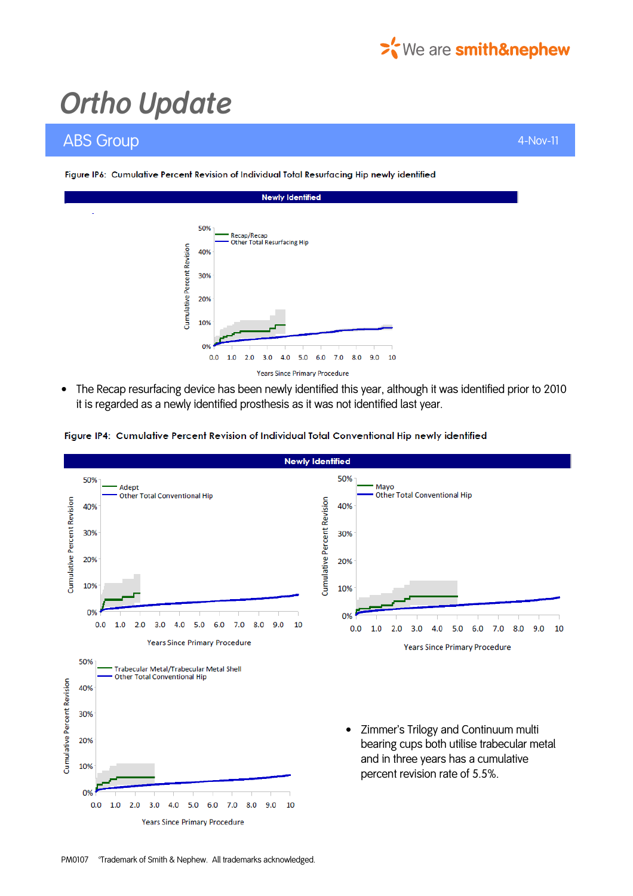

## ABS Group 4-Nov-11 and 200 million and 200 million and 200 million and 200 million and 4-Nov-11



• The Recap resurfacing device has been newly identified this year, although it was identified prior to 2010 it is regarded as a newly identified prosthesis as it was not identified last year.